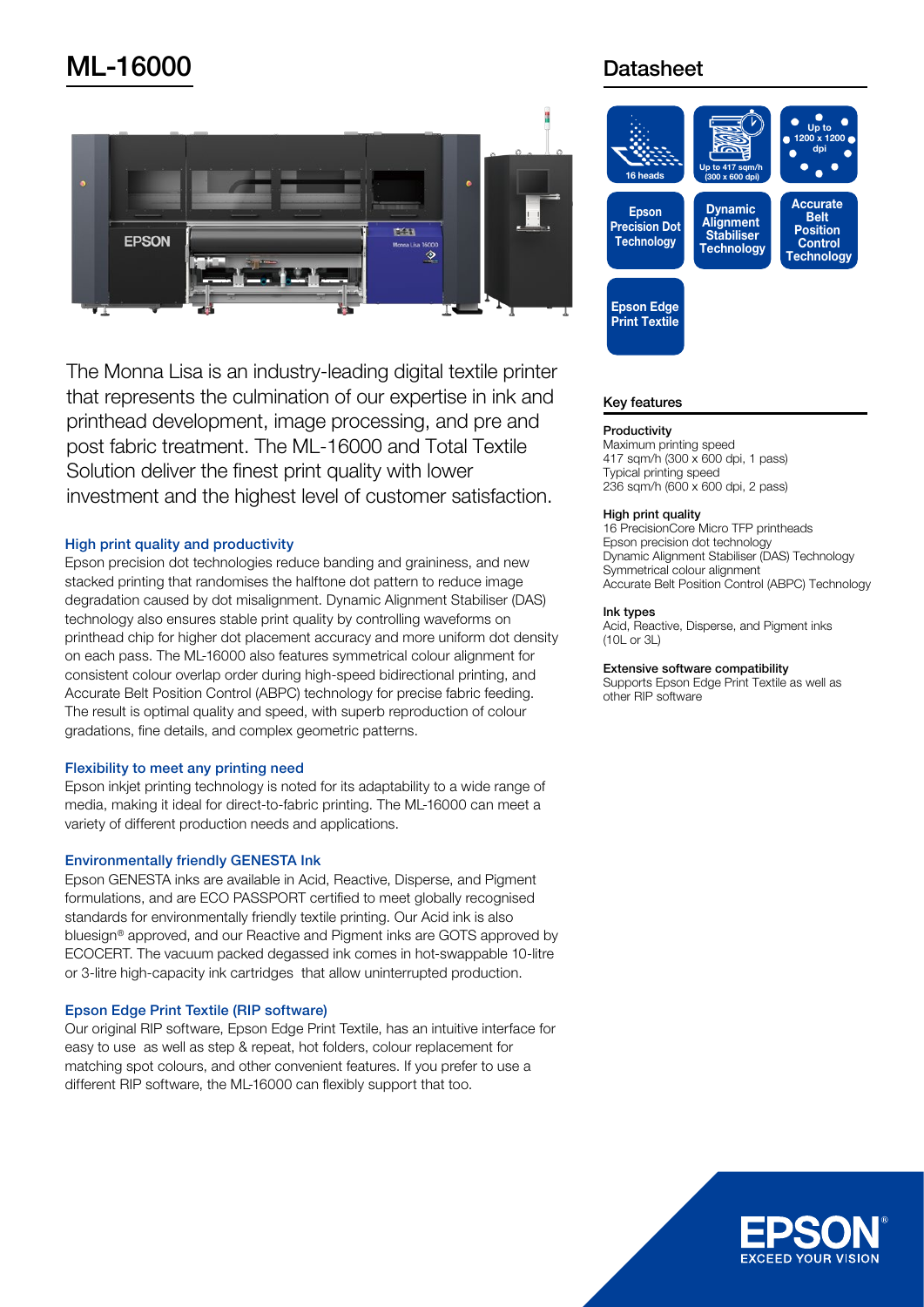# **ML-16000** Datasheet



The Monna Lisa is an industry-leading digital textile printer that represents the culmination of our expertise in ink and printhead development, image processing, and pre and post fabric treatment. The ML-16000 and Total Textile Solution deliver the finest print quality with lower investment and the highest level of customer satisfaction.

# High print quality and productivity

Epson precision dot technologies reduce banding and graininess, and new stacked printing that randomises the halftone dot pattern to reduce image degradation caused by dot misalignment. Dynamic Alignment Stabiliser (DAS) technology also ensures stable print quality by controlling waveforms on printhead chip for higher dot placement accuracy and more uniform dot density on each pass. The ML-16000 also features symmetrical colour alignment for consistent colour overlap order during high-speed bidirectional printing, and Accurate Belt Position Control (ABPC) technology for precise fabric feeding. The result is optimal quality and speed, with superb reproduction of colour gradations, fine details, and complex geometric patterns.

# Flexibility to meet any printing need

Epson inkjet printing technology is noted for its adaptability to a wide range of media, making it ideal for direct-to-fabric printing. The ML-16000 can meet a variety of different production needs and applications.

# **Environmentally friendly GENESTA Ink**

Epson GENESTA inks are available in Acid, Reactive, Disperse, and Pigment formulations, and are ECO PASSPORT certified to meet globally recognised standards for environmentally friendly textile printing. Our Acid ink is also bluesign<sup>®</sup> approved, and our Reactive and Pigment inks are GOTS approved by ECOCERT. The vacuum packed degassed ink comes in hot-swappable 10-litre or 3-litre high-capacity ink cartridges that allow uninterrupted production.

# Epson Edge Print Textile (RIP software)

Our original RIP software. Epson Edge Print Textile, has an intuitive interface for easy to use as well as step & repeat, hot folders, colour replacement for matching spot colours, and other convenient features. If you prefer to use a different RIP software, the ML-16000 can flexibly support that too.



# **Key features**

### **Productivity**

Maximum printing speed 417 sqm/h  $(300 \times 600$  dpi, 1 pass) Typical printing speed 236 sqm/h (600 x 600 dpi, 2 pass)

### High print quality

16 PrecisionCore Micro TFP printheads Epson precision dot technology Dynamic Alignment Stabiliser (DAS) Technology Symmetrical colour alignment Accurate Belt Position Control (ABPC) Technology

### Ink types

Acid, Reactive, Disperse, and Pigment inks  $(10L or 3L)$ 

### Extensive software compatibility

Supports Epson Edge Print Textile as well as other RIP software